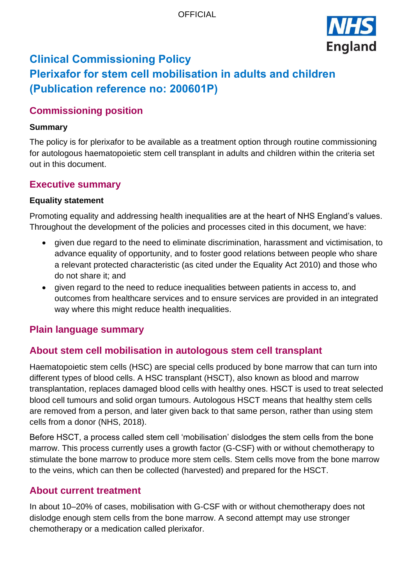

# **Clinical Commissioning Policy Plerixafor for stem cell mobilisation in adults and children (Publication reference no: 200601P)**

## **Commissioning position**

#### **Summary**

The policy is for plerixafor to be available as a treatment option through routine commissioning for autologous haematopoietic stem cell transplant in adults and children within the criteria set out in this document.

### **Executive summary**

#### **Equality statement**

Promoting equality and addressing health inequalities are at the heart of NHS England's values. Throughout the development of the policies and processes cited in this document, we have:

- given due regard to the need to eliminate discrimination, harassment and victimisation, to advance equality of opportunity, and to foster good relations between people who share a relevant protected characteristic (as cited under the Equality Act 2010) and those who do not share it; and
- given regard to the need to reduce inequalities between patients in access to, and outcomes from healthcare services and to ensure services are provided in an integrated way where this might reduce health inequalities.

## **Plain language summary**

## **About stem cell mobilisation in autologous stem cell transplant**

Haematopoietic stem cells (HSC) are special cells produced by bone marrow that can turn into different types of blood cells. A HSC transplant (HSCT), also known as blood and marrow transplantation, replaces damaged blood cells with healthy ones. HSCT is used to treat selected blood cell tumours and solid organ tumours. Autologous HSCT means that healthy stem cells are removed from a person, and later given back to that same person, rather than using stem cells from a donor (NHS, 2018).

Before HSCT, a process called stem cell 'mobilisation' dislodges the stem cells from the bone marrow. This process currently uses a growth factor (G-CSF) with or without chemotherapy to stimulate the bone marrow to produce more stem cells. Stem cells move from the bone marrow to the veins, which can then be collected (harvested) and prepared for the HSCT.

#### **About current treatment**

In about 10–20% of cases, mobilisation with G-CSF with or without chemotherapy does not dislodge enough stem cells from the bone marrow. A second attempt may use stronger chemotherapy or a medication called plerixafor.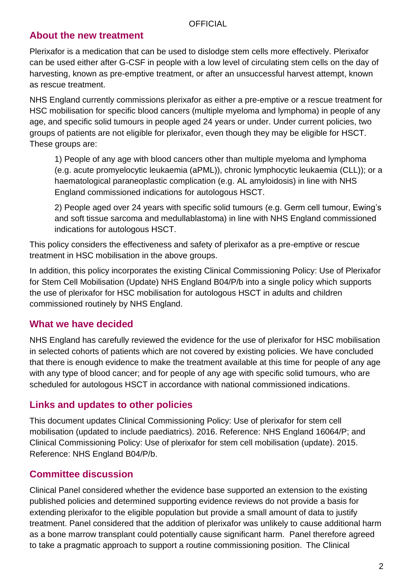## **About the new treatment**

Plerixafor is a medication that can be used to dislodge stem cells more effectively. Plerixafor can be used either after G-CSF in people with a low level of circulating stem cells on the day of harvesting, known as pre-emptive treatment, or after an unsuccessful harvest attempt, known as rescue treatment.

NHS England currently commissions plerixafor as either a pre-emptive or a rescue treatment for HSC mobilisation for specific blood cancers (multiple myeloma and lymphoma) in people of any age, and specific solid tumours in people aged 24 years or under. Under current policies, two groups of patients are not eligible for plerixafor, even though they may be eligible for HSCT. These groups are:

1) People of any age with blood cancers other than multiple myeloma and lymphoma (e.g. acute promyelocytic leukaemia (aPML)), chronic lymphocytic leukaemia (CLL)); or a haematological paraneoplastic complication (e.g. AL amyloidosis) in line with NHS England commissioned indications for autologous HSCT.

2) People aged over 24 years with specific solid tumours (e.g. Germ cell tumour, Ewing's and soft tissue sarcoma and medullablastoma) in line with NHS England commissioned indications for autologous HSCT.

This policy considers the effectiveness and safety of plerixafor as a pre-emptive or rescue treatment in HSC mobilisation in the above groups.

In addition, this policy incorporates the existing Clinical Commissioning Policy: Use of Plerixafor for Stem Cell Mobilisation (Update) NHS England B04/P/b into a single policy which supports the use of plerixafor for HSC mobilisation for autologous HSCT in adults and children commissioned routinely by NHS England.

## **What we have decided**

NHS England has carefully reviewed the evidence for the use of plerixafor for HSC mobilisation in selected cohorts of patients which are not covered by existing policies. We have concluded that there is enough evidence to make the treatment available at this time for people of any age with any type of blood cancer; and for people of any age with specific solid tumours, who are scheduled for autologous HSCT in accordance with national commissioned indications.

## **Links and updates to other policies**

This document updates Clinical Commissioning Policy: Use of plerixafor for stem cell mobilisation (updated to include paediatrics). 2016. Reference: NHS England 16064/P; and Clinical Commissioning Policy: Use of plerixafor for stem cell mobilisation (update). 2015. Reference: NHS England B04/P/b.

## **Committee discussion**

Clinical Panel considered whether the evidence base supported an extension to the existing published policies and determined supporting evidence reviews do not provide a basis for extending plerixafor to the eligible population but provide a small amount of data to justify treatment. Panel considered that the addition of plerixafor was unlikely to cause additional harm as a bone marrow transplant could potentially cause significant harm. Panel therefore agreed to take a pragmatic approach to support a routine commissioning position. The Clinical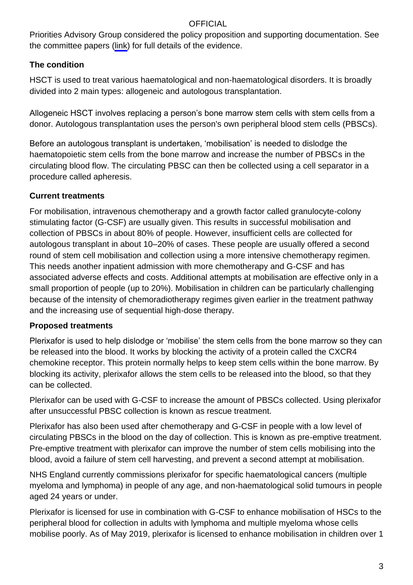Priorities Advisory Group considered the policy proposition and supporting documentation. See the committee papers [\(link](https://www.england.nhs.uk/publication/plerixafor-for-stem-cell-mobilisation-in-adults-and-children/)) for full details of the evidence.

### **The condition**

HSCT is used to treat various haematological and non-haematological disorders. It is broadly divided into 2 main types: allogeneic and autologous transplantation.

Allogeneic HSCT involves replacing a person's bone marrow stem cells with stem cells from a donor. Autologous transplantation uses the person's own peripheral blood stem cells (PBSCs).

Before an autologous transplant is undertaken, 'mobilisation' is needed to dislodge the haematopoietic stem cells from the bone marrow and increase the number of PBSCs in the circulating blood flow. The circulating PBSC can then be collected using a cell separator in a procedure called apheresis.

### **Current treatments**

For mobilisation, intravenous chemotherapy and a growth factor called granulocyte-colony stimulating factor (G-CSF) are usually given. This results in successful mobilisation and collection of PBSCs in about 80% of people. However, insufficient cells are collected for autologous transplant in about 10–20% of cases. These people are usually offered a second round of stem cell mobilisation and collection using a more intensive chemotherapy regimen. This needs another inpatient admission with more chemotherapy and G-CSF and has associated adverse effects and costs. Additional attempts at mobilisation are effective only in a small proportion of people (up to 20%). Mobilisation in children can be particularly challenging because of the intensity of chemoradiotherapy regimes given earlier in the treatment pathway and the increasing use of sequential high-dose therapy.

#### **Proposed treatments**

Plerixafor is used to help dislodge or 'mobilise' the stem cells from the bone marrow so they can be released into the blood. It works by blocking the activity of a protein called the CXCR4 chemokine receptor. This protein normally helps to keep stem cells within the bone marrow. By blocking its activity, plerixafor allows the stem cells to be released into the blood, so that they can be collected.

Plerixafor can be used with G-CSF to increase the amount of PBSCs collected. Using plerixafor after unsuccessful PBSC collection is known as rescue treatment.

Plerixafor has also been used after chemotherapy and G-CSF in people with a low level of circulating PBSCs in the blood on the day of collection. This is known as pre-emptive treatment. Pre-emptive treatment with plerixafor can improve the number of stem cells mobilising into the blood, avoid a failure of stem cell harvesting, and prevent a second attempt at mobilisation.

NHS England currently commissions plerixafor for specific haematological cancers (multiple myeloma and lymphoma) in people of any age, and non-haematological solid tumours in people aged 24 years or under.

Plerixafor is licensed for use in combination with G-CSF to enhance mobilisation of HSCs to the peripheral blood for collection in adults with lymphoma and multiple myeloma whose cells mobilise poorly. As of May 2019, plerixafor is licensed to enhance mobilisation in children over 1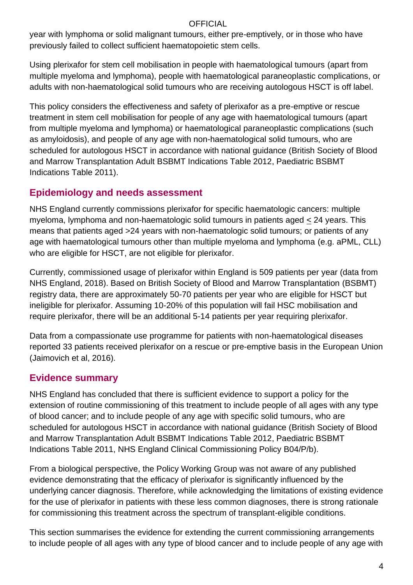year with lymphoma or solid malignant tumours, either pre-emptively, or in those who have previously failed to collect sufficient haematopoietic stem cells.

Using plerixafor for stem cell mobilisation in people with haematological tumours (apart from multiple myeloma and lymphoma), people with haematological paraneoplastic complications, or adults with non-haematological solid tumours who are receiving autologous HSCT is off label.

This policy considers the effectiveness and safety of plerixafor as a pre-emptive or rescue treatment in stem cell mobilisation for people of any age with haematological tumours (apart from multiple myeloma and lymphoma) or haematological paraneoplastic complications (such as amyloidosis), and people of any age with non-haematological solid tumours, who are scheduled for autologous HSCT in accordance with national guidance (British Society of Blood and Marrow Transplantation Adult BSBMT Indications Table 2012, Paediatric BSBMT Indications Table 2011).

## **Epidemiology and needs assessment**

NHS England currently commissions plerixafor for specific haematologic cancers: multiple myeloma, lymphoma and non-haematologic solid tumours in patients aged < 24 years. This means that patients aged >24 years with non-haematologic solid tumours; or patients of any age with haematological tumours other than multiple myeloma and lymphoma (e.g. aPML, CLL) who are eligible for HSCT, are not eligible for plerixafor.

Currently, commissioned usage of plerixafor within England is 509 patients per year (data from NHS England, 2018). Based on British Society of Blood and Marrow Transplantation (BSBMT) registry data, there are approximately 50-70 patients per year who are eligible for HSCT but ineligible for plerixafor. Assuming 10-20% of this population will fail HSC mobilisation and require plerixafor, there will be an additional 5-14 patients per year requiring plerixafor.

Data from a compassionate use programme for patients with non-haematological diseases reported 33 patients received plerixafor on a rescue or pre-emptive basis in the European Union (Jaimovich et al, 2016).

## **Evidence summary**

NHS England has concluded that there is sufficient evidence to support a policy for the extension of routine commissioning of this treatment to include people of all ages with any type of blood cancer; and to include people of any age with specific solid tumours, who are scheduled for autologous HSCT in accordance with national guidance (British Society of Blood and Marrow Transplantation Adult BSBMT Indications Table 2012, Paediatric BSBMT Indications Table 2011, NHS England Clinical Commissioning Policy B04/P/b).

From a biological perspective, the Policy Working Group was not aware of any published evidence demonstrating that the efficacy of plerixafor is significantly influenced by the underlying cancer diagnosis. Therefore, while acknowledging the limitations of existing evidence for the use of plerixafor in patients with these less common diagnoses, there is strong rationale for commissioning this treatment across the spectrum of transplant-eligible conditions.

This section summarises the evidence for extending the current commissioning arrangements to include people of all ages with any type of blood cancer and to include people of any age with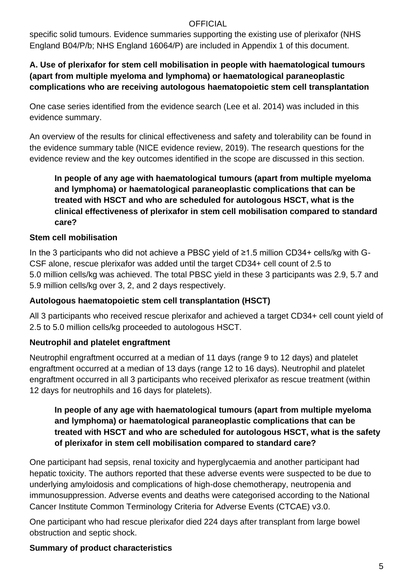specific solid tumours. Evidence summaries supporting the existing use of plerixafor (NHS England B04/P/b; NHS England 16064/P) are included in Appendix 1 of this document.

### **A. Use of plerixafor for stem cell mobilisation in people with haematological tumours (apart from multiple myeloma and lymphoma) or haematological paraneoplastic complications who are receiving autologous haematopoietic stem cell transplantation**

One case series identified from the evidence search [\(Lee et al. 2014\)](https://www.tandfonline.com/doi/full/10.3109/13506129.2014.900486?scroll=top&needAccess=true) was included in this evidence summary.

An overview of the results for clinical effectiveness and safety and tolerability can be found in the evidence summary table (NICE evidence review, 2019). The research questions for the evidence review and the key outcomes identified in the scope are discussed in this section.

### **In people of any age with haematological tumours (apart from multiple myeloma and lymphoma) or haematological paraneoplastic complications that can be treated with HSCT and who are scheduled for autologous HSCT, what is the clinical effectiveness of plerixafor in stem cell mobilisation compared to standard care?**

### **Stem cell mobilisation**

In the 3 participants who did not achieve a PBSC yield of ≥1.5 million CD34+ cells/kg with G-CSF alone, rescue plerixafor was added until the target CD34+ cell count of 2.5 to 5.0 million cells/kg was achieved. The total PBSC yield in these 3 participants was 2.9, 5.7 and 5.9 million cells/kg over 3, 2, and 2 days respectively.

#### **Autologous haematopoietic stem cell transplantation (HSCT)**

All 3 participants who received rescue plerixafor and achieved a target CD34+ cell count yield of 2.5 to 5.0 million cells/kg proceeded to autologous HSCT.

#### **Neutrophil and platelet engraftment**

Neutrophil engraftment occurred at a median of 11 days (range 9 to 12 days) and platelet engraftment occurred at a median of 13 days (range 12 to 16 days). Neutrophil and platelet engraftment occurred in all 3 participants who received plerixafor as rescue treatment (within 12 days for neutrophils and 16 days for platelets).

#### **In people of any age with haematological tumours (apart from multiple myeloma and lymphoma) or haematological paraneoplastic complications that can be treated with HSCT and who are scheduled for autologous HSCT, what is the safety of plerixafor in stem cell mobilisation compared to standard care?**

One participant had sepsis, renal toxicity and hyperglycaemia and another participant had hepatic toxicity. The authors reported that these adverse events were suspected to be due to underlying amyloidosis and complications of high-dose chemotherapy, neutropenia and immunosuppression. Adverse events and deaths were categorised according to the National Cancer Institute Common Terminology Criteria for Adverse Events (CTCAE) v3.0.

One participant who had rescue plerixafor died 224 days after transplant from large bowel obstruction and septic shock.

## **Summary of product characteristics**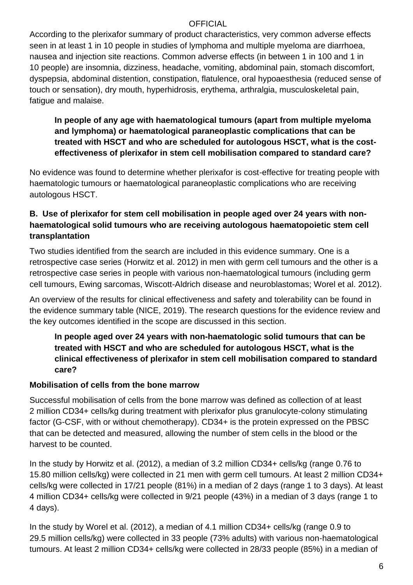According to the plerixafor summary of product characteristics, very common adverse effects seen in at least 1 in 10 people in studies of lymphoma and multiple myeloma are diarrhoea, nausea and injection site reactions. Common adverse effects (in between 1 in 100 and 1 in 10 people) are insomnia, dizziness, headache, vomiting, abdominal pain, stomach discomfort, dyspepsia, abdominal distention, constipation, flatulence, oral hypoaesthesia (reduced sense of touch or sensation), dry mouth, hyperhidrosis, erythema, arthralgia, musculoskeletal pain, fatigue and malaise.

**In people of any age with haematological tumours (apart from multiple myeloma and lymphoma) or haematological paraneoplastic complications that can be treated with HSCT and who are scheduled for autologous HSCT, what is the costeffectiveness of plerixafor in stem cell mobilisation compared to standard care?** 

No evidence was found to determine whether plerixafor is cost-effective for treating people with haematologic tumours or haematological paraneoplastic complications who are receiving autologous HSCT.

### **B. Use of plerixafor for stem cell mobilisation in people aged over 24 years with nonhaematological solid tumours who are receiving autologous haematopoietic stem cell transplantation**

Two studies identified from the search are included in this evidence summary. One is a retrospective case series (Horwitz et al. 2012) in men with germ cell tumours and the other is a retrospective case series in people with various non-haematological tumours (including germ cell tumours, Ewing sarcomas, Wiscott-Aldrich disease and neuroblastomas; Worel et al. 2012).

An overview of the results for clinical effectiveness and safety and tolerability can be found in the evidence summary table (NICE, 2019). The research questions for the evidence review and the key outcomes identified in the scope are discussed in this section.

#### **In people aged over 24 years with non-haematologic solid tumours that can be treated with HSCT and who are scheduled for autologous HSCT, what is the clinical effectiveness of plerixafor in stem cell mobilisation compared to standard care?**

#### **Mobilisation of cells from the bone marrow**

Successful mobilisation of cells from the bone marrow was defined as collection of at least 2 million CD34+ cells/kg during treatment with plerixafor plus granulocyte-colony stimulating factor (G-CSF, with or without chemotherapy). CD34+ is the protein expressed on the PBSC that can be detected and measured, allowing the number of stem cells in the blood or the harvest to be counted.

In the study by Horwitz et al. (2012), a median of 3.2 million CD34+ cells/kg (range 0.76 to 15.80 million cells/kg) were collected in 21 men with germ cell tumours. At least 2 million CD34+ cells/kg were collected in 17/21 people (81%) in a median of 2 days (range 1 to 3 days). At least 4 million CD34+ cells/kg were collected in 9/21 people (43%) in a median of 3 days (range 1 to 4 days).

In the study by Worel et al. (2012), a median of 4.1 million CD34+ cells/kg (range 0.9 to 29.5 million cells/kg) were collected in 33 people (73% adults) with various non-haematological tumours. At least 2 million CD34+ cells/kg were collected in 28/33 people (85%) in a median of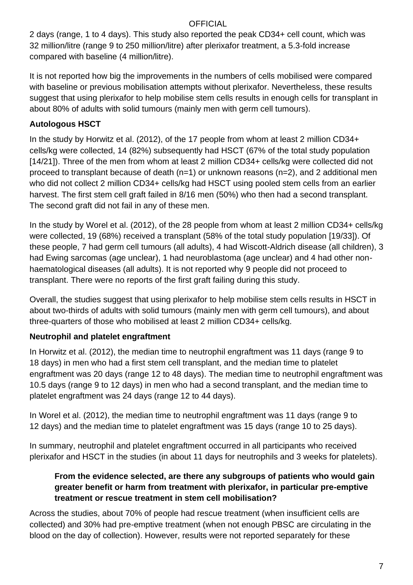2 days (range, 1 to 4 days). This study also reported the peak CD34+ cell count, which was 32 million/litre (range 9 to 250 million/litre) after plerixafor treatment, a 5.3-fold increase compared with baseline (4 million/litre).

It is not reported how big the improvements in the numbers of cells mobilised were compared with baseline or previous mobilisation attempts without plerixafor. Nevertheless, these results suggest that using plerixafor to help mobilise stem cells results in enough cells for transplant in about 80% of adults with solid tumours (mainly men with germ cell tumours).

### **Autologous HSCT**

In the study by Horwitz et al. (2012), of the 17 people from whom at least 2 million CD34+ cells/kg were collected, 14 (82%) subsequently had HSCT (67% of the total study population [14/21]). Three of the men from whom at least 2 million CD34+ cells/kg were collected did not proceed to transplant because of death (n=1) or unknown reasons (n=2), and 2 additional men who did not collect 2 million CD34+ cells/kg had HSCT using pooled stem cells from an earlier harvest. The first stem cell graft failed in 8/16 men (50%) who then had a second transplant. The second graft did not fail in any of these men.

In the study by Worel et al. (2012), of the 28 people from whom at least 2 million CD34+ cells/kg were collected, 19 (68%) received a transplant (58% of the total study population [19/33]). Of these people, 7 had germ cell tumours (all adults), 4 had Wiscott-Aldrich disease (all children), 3 had Ewing sarcomas (age unclear), 1 had neuroblastoma (age unclear) and 4 had other nonhaematological diseases (all adults). It is not reported why 9 people did not proceed to transplant. There were no reports of the first graft failing during this study.

Overall, the studies suggest that using plerixafor to help mobilise stem cells results in HSCT in about two-thirds of adults with solid tumours (mainly men with germ cell tumours), and about three-quarters of those who mobilised at least 2 million CD34+ cells/kg.

## **Neutrophil and platelet engraftment**

In Horwitz et al. (2012), the median time to neutrophil engraftment was 11 days (range 9 to 18 days) in men who had a first stem cell transplant, and the median time to platelet engraftment was 20 days (range 12 to 48 days). The median time to neutrophil engraftment was 10.5 days (range 9 to 12 days) in men who had a second transplant, and the median time to platelet engraftment was 24 days (range 12 to 44 days).

In Worel et al. (2012), the median time to neutrophil engraftment was 11 days (range 9 to 12 days) and the median time to platelet engraftment was 15 days (range 10 to 25 days).

In summary, neutrophil and platelet engraftment occurred in all participants who received plerixafor and HSCT in the studies (in about 11 days for neutrophils and 3 weeks for platelets).

#### **From the evidence selected, are there any subgroups of patients who would gain greater benefit or harm from treatment with plerixafor, in particular pre-emptive treatment or rescue treatment in stem cell mobilisation?**

Across the studies, about 70% of people had rescue treatment (when insufficient cells are collected) and 30% had pre-emptive treatment (when not enough PBSC are circulating in the blood on the day of collection). However, results were not reported separately for these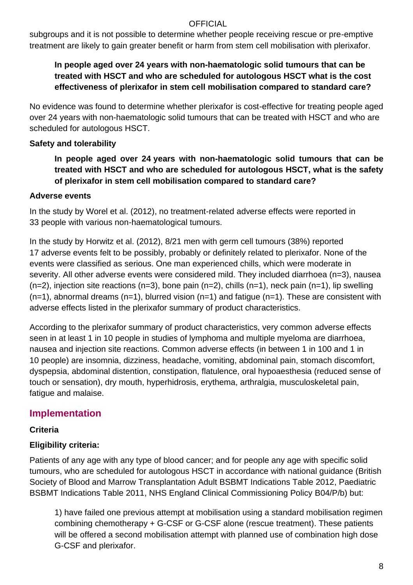subgroups and it is not possible to determine whether people receiving rescue or pre-emptive treatment are likely to gain greater benefit or harm from stem cell mobilisation with plerixafor.

### **In people aged over 24 years with non-haematologic solid tumours that can be treated with HSCT and who are scheduled for autologous HSCT what is the cost effectiveness of plerixafor in stem cell mobilisation compared to standard care?**

No evidence was found to determine whether plerixafor is cost-effective for treating people aged over 24 years with non-haematologic solid tumours that can be treated with HSCT and who are scheduled for autologous HSCT.

#### **Safety and tolerability**

**In people aged over 24 years with non-haematologic solid tumours that can be treated with HSCT and who are scheduled for autologous HSCT, what is the safety of plerixafor in stem cell mobilisation compared to standard care?**

#### **Adverse events**

In the study by Worel et al. (2012), no treatment-related adverse effects were reported in 33 people with various non-haematological tumours.

In the study by Horwitz et al. (2012), 8/21 men with germ cell tumours (38%) reported 17 adverse events felt to be possibly, probably or definitely related to plerixafor. None of the events were classified as serious. One man experienced chills, which were moderate in severity. All other adverse events were considered mild. They included diarrhoea (n=3), nausea  $(n=2)$ , injection site reactions  $(n=3)$ , bone pain  $(n=2)$ , chills  $(n=1)$ , neck pain  $(n=1)$ , lip swelling  $(n=1)$ , abnormal dreams  $(n=1)$ , blurred vision  $(n=1)$  and fatigue  $(n=1)$ . These are consistent with adverse effects listed in the plerixafor summary of product characteristics.

According to the plerixafor summary of product characteristics, very common adverse effects seen in at least 1 in 10 people in studies of lymphoma and multiple myeloma are diarrhoea, nausea and injection site reactions. Common adverse effects (in between 1 in 100 and 1 in 10 people) are insomnia, dizziness, headache, vomiting, abdominal pain, stomach discomfort, dyspepsia, abdominal distention, constipation, flatulence, oral hypoaesthesia (reduced sense of touch or sensation), dry mouth, hyperhidrosis, erythema, arthralgia, musculoskeletal pain, fatigue and malaise.

## **Implementation**

#### **Criteria**

#### **Eligibility criteria:**

Patients of any age with any type of blood cancer; and for people any age with specific solid tumours, who are scheduled for autologous HSCT in accordance with national guidance (British Society of Blood and Marrow Transplantation Adult BSBMT Indications Table 2012, Paediatric BSBMT Indications Table 2011, NHS England Clinical Commissioning Policy B04/P/b) but:

1) have failed one previous attempt at mobilisation using a standard mobilisation regimen combining chemotherapy + G-CSF or G-CSF alone (rescue treatment). These patients will be offered a second mobilisation attempt with planned use of combination high dose G-CSF and plerixafor.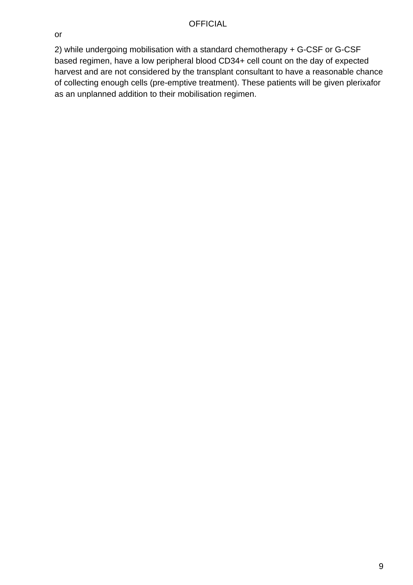or

2) while undergoing mobilisation with a standard chemotherapy + G-CSF or G-CSF based regimen, have a low peripheral blood CD34+ cell count on the day of expected harvest and are not considered by the transplant consultant to have a reasonable chance of collecting enough cells (pre-emptive treatment). These patients will be given plerixafor as an unplanned addition to their mobilisation regimen.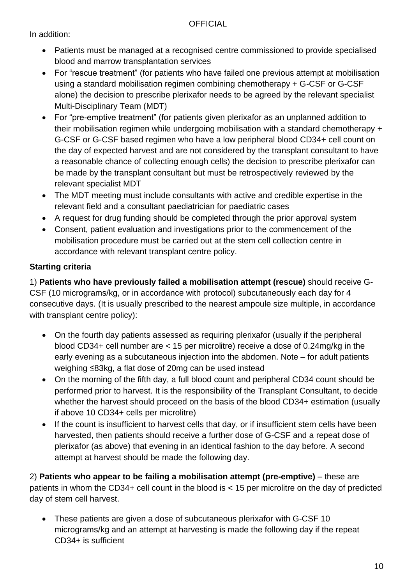In addition:

- Patients must be managed at a recognised centre commissioned to provide specialised blood and marrow transplantation services
- For "rescue treatment" (for patients who have failed one previous attempt at mobilisation using a standard mobilisation regimen combining chemotherapy + G-CSF or G-CSF alone) the decision to prescribe plerixafor needs to be agreed by the relevant specialist Multi-Disciplinary Team (MDT)
- For "pre-emptive treatment" (for patients given plerixafor as an unplanned addition to their mobilisation regimen while undergoing mobilisation with a standard chemotherapy + G-CSF or G-CSF based regimen who have a low peripheral blood CD34+ cell count on the day of expected harvest and are not considered by the transplant consultant to have a reasonable chance of collecting enough cells) the decision to prescribe plerixafor can be made by the transplant consultant but must be retrospectively reviewed by the relevant specialist MDT
- The MDT meeting must include consultants with active and credible expertise in the relevant field and a consultant paediatrician for paediatric cases
- A request for drug funding should be completed through the prior approval system
- Consent, patient evaluation and investigations prior to the commencement of the mobilisation procedure must be carried out at the stem cell collection centre in accordance with relevant transplant centre policy.

### **Starting criteria**

1) **Patients who have previously failed a mobilisation attempt (rescue)** should receive G-CSF (10 micrograms/kg, or in accordance with protocol) subcutaneously each day for 4 consecutive days. (It is usually prescribed to the nearest ampoule size multiple, in accordance with transplant centre policy):

- On the fourth day patients assessed as requiring plerixafor (usually if the peripheral blood CD34+ cell number are < 15 per microlitre) receive a dose of 0.24mg/kg in the early evening as a subcutaneous injection into the abdomen. Note – for adult patients weighing ≤83kg, a flat dose of 20mg can be used instead
- On the morning of the fifth day, a full blood count and peripheral CD34 count should be performed prior to harvest. It is the responsibility of the Transplant Consultant, to decide whether the harvest should proceed on the basis of the blood CD34+ estimation (usually if above 10 CD34+ cells per microlitre)
- If the count is insufficient to harvest cells that day, or if insufficient stem cells have been harvested, then patients should receive a further dose of G-CSF and a repeat dose of plerixafor (as above) that evening in an identical fashion to the day before. A second attempt at harvest should be made the following day.

2) **Patients who appear to be failing a mobilisation attempt (pre-emptive)** – these are patients in whom the CD34+ cell count in the blood is < 15 per microlitre on the day of predicted day of stem cell harvest.

• These patients are given a dose of subcutaneous plerixafor with G-CSF 10 micrograms/kg and an attempt at harvesting is made the following day if the repeat CD34+ is sufficient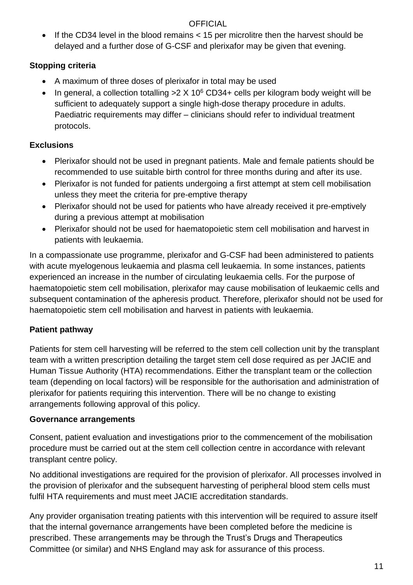• If the CD34 level in the blood remains < 15 per microlitre then the harvest should be delayed and a further dose of G-CSF and plerixafor may be given that evening.

## **Stopping criteria**

- A maximum of three doses of plerixafor in total may be used
- In general, a collection totalling  $>2 \times 10^6$  CD34+ cells per kilogram body weight will be sufficient to adequately support a single high-dose therapy procedure in adults. Paediatric requirements may differ – clinicians should refer to individual treatment protocols.

## **Exclusions**

- Plerixafor should not be used in pregnant patients. Male and female patients should be recommended to use suitable birth control for three months during and after its use.
- Plerixafor is not funded for patients undergoing a first attempt at stem cell mobilisation unless they meet the criteria for pre-emptive therapy
- Plerixafor should not be used for patients who have already received it pre-emptively during a previous attempt at mobilisation
- Plerixafor should not be used for haematopoietic stem cell mobilisation and harvest in patients with leukaemia.

In a compassionate use programme, plerixafor and G-CSF had been administered to patients with acute myelogenous leukaemia and plasma cell leukaemia. In some instances, patients experienced an increase in the number of circulating leukaemia cells. For the purpose of haematopoietic stem cell mobilisation, plerixafor may cause mobilisation of leukaemic cells and subsequent contamination of the apheresis product. Therefore, plerixafor should not be used for haematopoietic stem cell mobilisation and harvest in patients with leukaemia.

## **Patient pathway**

Patients for stem cell harvesting will be referred to the stem cell collection unit by the transplant team with a written prescription detailing the target stem cell dose required as per JACIE and Human Tissue Authority (HTA) recommendations. Either the transplant team or the collection team (depending on local factors) will be responsible for the authorisation and administration of plerixafor for patients requiring this intervention. There will be no change to existing arrangements following approval of this policy.

## **Governance arrangements**

Consent, patient evaluation and investigations prior to the commencement of the mobilisation procedure must be carried out at the stem cell collection centre in accordance with relevant transplant centre policy.

No additional investigations are required for the provision of plerixafor. All processes involved in the provision of plerixafor and the subsequent harvesting of peripheral blood stem cells must fulfil HTA requirements and must meet JACIE accreditation standards.

Any provider organisation treating patients with this intervention will be required to assure itself that the internal governance arrangements have been completed before the medicine is prescribed. These arrangements may be through the Trust's Drugs and Therapeutics Committee (or similar) and NHS England may ask for assurance of this process.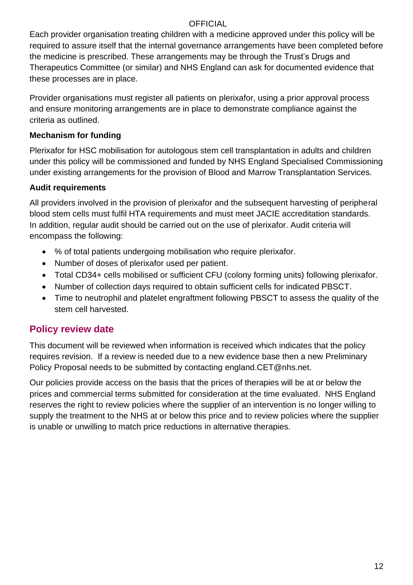Each provider organisation treating children with a medicine approved under this policy will be required to assure itself that the internal governance arrangements have been completed before the medicine is prescribed. These arrangements may be through the Trust's Drugs and Therapeutics Committee (or similar) and NHS England can ask for documented evidence that these processes are in place.

Provider organisations must register all patients on plerixafor, using a prior approval process and ensure monitoring arrangements are in place to demonstrate compliance against the criteria as outlined.

#### **Mechanism for funding**

Plerixafor for HSC mobilisation for autologous stem cell transplantation in adults and children under this policy will be commissioned and funded by NHS England Specialised Commissioning under existing arrangements for the provision of Blood and Marrow Transplantation Services.

#### **Audit requirements**

All providers involved in the provision of plerixafor and the subsequent harvesting of peripheral blood stem cells must fulfil HTA requirements and must meet JACIE accreditation standards. In addition, regular audit should be carried out on the use of plerixafor. Audit criteria will encompass the following:

- % of total patients undergoing mobilisation who require plerixafor.
- Number of doses of plerixafor used per patient.
- Total CD34+ cells mobilised or sufficient CFU (colony forming units) following plerixafor.
- Number of collection days required to obtain sufficient cells for indicated PBSCT.
- Time to neutrophil and platelet engraftment following PBSCT to assess the quality of the stem cell harvested.

## **Policy review date**

This document will be reviewed when information is received which indicates that the policy requires revision. If a review is needed due to a new evidence base then a new Preliminary Policy Proposal needs to be submitted by contacting england.CET@nhs.net.

Our policies provide access on the basis that the prices of therapies will be at or below the prices and commercial terms submitted for consideration at the time evaluated. NHS England reserves the right to review policies where the supplier of an intervention is no longer willing to supply the treatment to the NHS at or below this price and to review policies where the supplier is unable or unwilling to match price reductions in alternative therapies.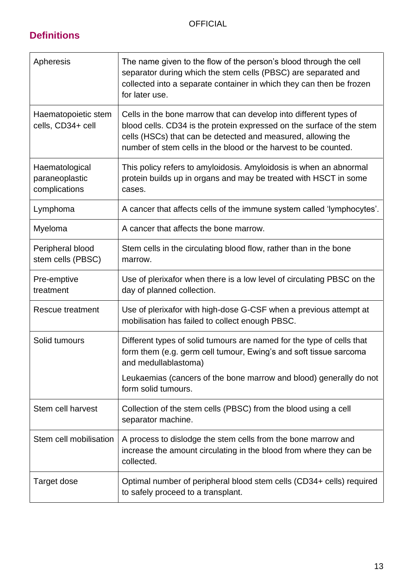## **Definitions**

| Apheresis                                         | The name given to the flow of the person's blood through the cell<br>separator during which the stem cells (PBSC) are separated and<br>collected into a separate container in which they can then be frozen<br>for later use.                                                 |
|---------------------------------------------------|-------------------------------------------------------------------------------------------------------------------------------------------------------------------------------------------------------------------------------------------------------------------------------|
| Haematopoietic stem<br>cells, CD34+ cell          | Cells in the bone marrow that can develop into different types of<br>blood cells. CD34 is the protein expressed on the surface of the stem<br>cells (HSCs) that can be detected and measured, allowing the<br>number of stem cells in the blood or the harvest to be counted. |
| Haematological<br>paraneoplastic<br>complications | This policy refers to amyloidosis. Amyloidosis is when an abnormal<br>protein builds up in organs and may be treated with HSCT in some<br>cases.                                                                                                                              |
| Lymphoma                                          | A cancer that affects cells of the immune system called 'lymphocytes'.                                                                                                                                                                                                        |
| Myeloma                                           | A cancer that affects the bone marrow.                                                                                                                                                                                                                                        |
| Peripheral blood<br>stem cells (PBSC)             | Stem cells in the circulating blood flow, rather than in the bone<br>marrow.                                                                                                                                                                                                  |
| Pre-emptive<br>treatment                          | Use of plerixafor when there is a low level of circulating PBSC on the<br>day of planned collection.                                                                                                                                                                          |
| Rescue treatment                                  | Use of plerixafor with high-dose G-CSF when a previous attempt at<br>mobilisation has failed to collect enough PBSC.                                                                                                                                                          |
| Solid tumours                                     | Different types of solid tumours are named for the type of cells that<br>form them (e.g. germ cell tumour, Ewing's and soft tissue sarcoma<br>and medullablastoma)                                                                                                            |
|                                                   | Leukaemias (cancers of the bone marrow and blood) generally do not<br>form solid tumours.                                                                                                                                                                                     |
| Stem cell harvest                                 | Collection of the stem cells (PBSC) from the blood using a cell<br>separator machine.                                                                                                                                                                                         |
| Stem cell mobilisation                            | A process to dislodge the stem cells from the bone marrow and<br>increase the amount circulating in the blood from where they can be<br>collected.                                                                                                                            |
| Target dose                                       | Optimal number of peripheral blood stem cells (CD34+ cells) required<br>to safely proceed to a transplant.                                                                                                                                                                    |